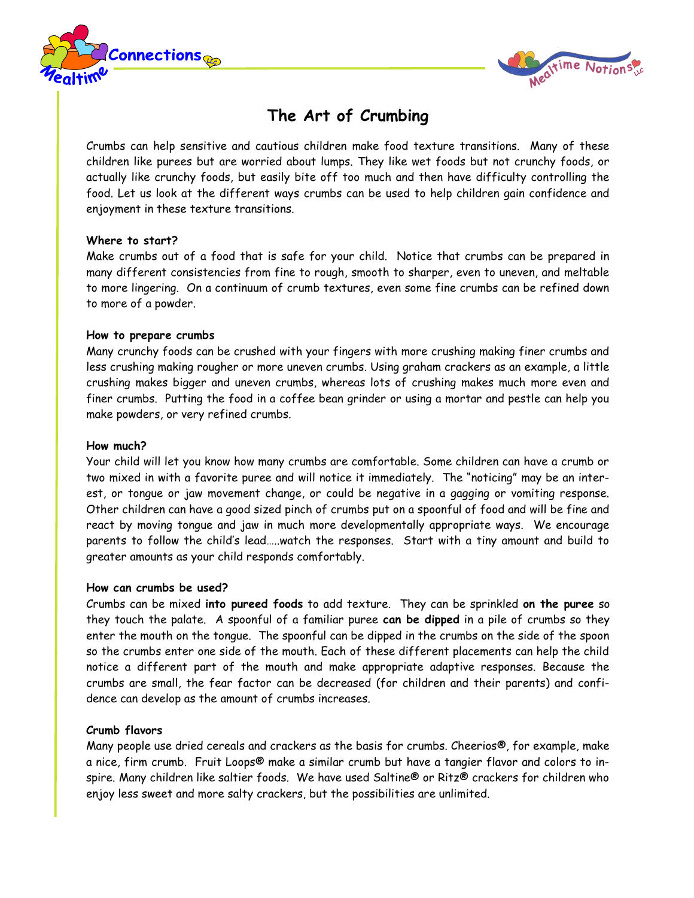



# **The Art of Crumbing**

Crumbs can help sensitive and cautious children make food texture transitions. Many of these children like purees but are worried about lumps. They like wet foods but not crunchy foods, or actually like crunchy foods, but easily bite off too much and then have difficulty controlling the food. Let us look at the different ways crumbs can be used to help children gain confidence and enjoyment in these texture transitions.

## **Where to start?**

Make crumbs out of a food that is safe for your child. Notice that crumbs can be prepared in many different consistencies from fine to rough, smooth to sharper, even to uneven, and meltable to more lingering. On a continuum of crumb textures, even some fine crumbs can be refined down to more of a powder.

## **How to prepare crumbs**

Many crunchy foods can be crushed with your fingers with more crushing making finer crumbs and less crushing making rougher or more uneven crumbs. Using graham crackers as an example, a little crushing makes bigger and uneven crumbs, whereas lots of crushing makes much more even and finer crumbs. Putting the food in a coffee bean grinder or using a mortar and pestle can help you make powders, or very refined crumbs.

#### **How much?**

Your child will let you know how many crumbs are comfortable. Some children can have a crumb or two mixed in with a favorite puree and will notice it immediately. The "noticing" may be an interest, or tongue or jaw movement change, or could be negative in a gagging or vomiting response. Other children can have a good sized pinch of crumbs put on a spoonful of food and will be fine and react by moving tongue and jaw in much more developmentally appropriate ways. We encourage parents to follow the child's lead…..watch the responses. Start with a tiny amount and build to greater amounts as your child responds comfortably.

#### **How can crumbs be used?**

Crumbs can be mixed **into pureed foods** to add texture. They can be sprinkled **on the puree** so they touch the palate. A spoonful of a familiar puree **can be dipped** in a pile of crumbs so they enter the mouth on the tongue. The spoonful can be dipped in the crumbs on the side of the spoon so the crumbs enter one side of the mouth. Each of these different placements can help the child notice a different part of the mouth and make appropriate adaptive responses. Because the crumbs are small, the fear factor can be decreased (for children and their parents) and confidence can develop as the amount of crumbs increases.

# **Crumb flavors**

Many people use dried cereals and crackers as the basis for crumbs. Cheerios®, for example, make a nice, firm crumb. Fruit Loops® make a similar crumb but have a tangier flavor and colors to inspire. Many children like saltier foods. We have used Saltine® or Ritz® crackers for children who enjoy less sweet and more salty crackers, but the possibilities are unlimited.